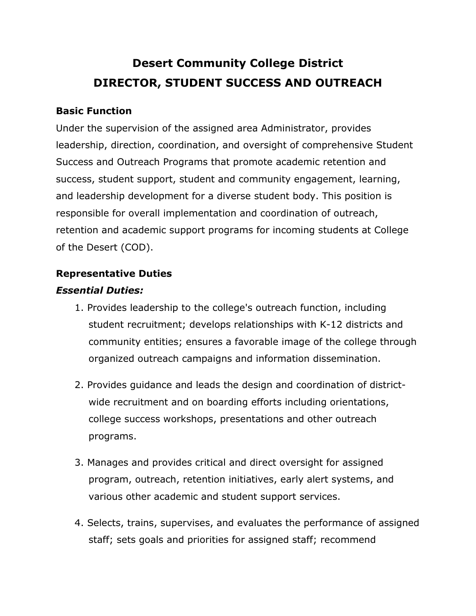# **Desert Community College District DIRECTOR, STUDENT SUCCESS AND OUTREACH**

#### **Basic Function**

Under the supervision of the assigned area Administrator, provides leadership, direction, coordination, and oversight of comprehensive Student Success and Outreach Programs that promote academic retention and success, student support, student and community engagement, learning, and leadership development for a diverse student body. This position is responsible for overall implementation and coordination of outreach, retention and academic support programs for incoming students at College of the Desert (COD).

#### **Representative Duties**

## *Essential Duties:*

- 1. Provides leadership to the college's outreach function, including student recruitment; develops relationships with K-12 districts and community entities; ensures a favorable image of the college through organized outreach campaigns and information dissemination.
- 2. Provides guidance and leads the design and coordination of districtwide recruitment and on boarding efforts including orientations, college success workshops, presentations and other outreach programs.
- 3. Manages and provides critical and direct oversight for assigned program, outreach, retention initiatives, early alert systems, and various other academic and student support services.
- 4. Selects, trains, supervises, and evaluates the performance of assigned staff; sets goals and priorities for assigned staff; recommend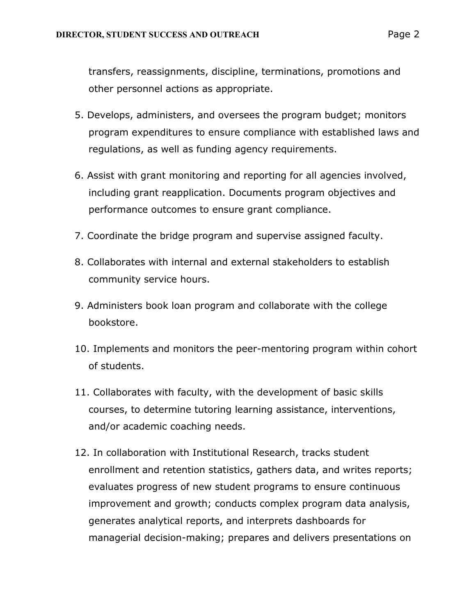transfers, reassignments, discipline, terminations, promotions and other personnel actions as appropriate.

- 5. Develops, administers, and oversees the program budget; monitors program expenditures to ensure compliance with established laws and regulations, as well as funding agency requirements.
- 6. Assist with grant monitoring and reporting for all agencies involved, including grant reapplication. Documents program objectives and performance outcomes to ensure grant compliance.
- 7. Coordinate the bridge program and supervise assigned faculty.
- 8. Collaborates with internal and external stakeholders to establish community service hours.
- 9. Administers book loan program and collaborate with the college bookstore.
- 10. Implements and monitors the peer-mentoring program within cohort of students.
- 11. Collaborates with faculty, with the development of basic skills courses, to determine tutoring learning assistance, interventions, and/or academic coaching needs.
- 12. In collaboration with Institutional Research, tracks student enrollment and retention statistics, gathers data, and writes reports; evaluates progress of new student programs to ensure continuous improvement and growth; conducts complex program data analysis, generates analytical reports, and interprets dashboards for managerial decision-making; prepares and delivers presentations on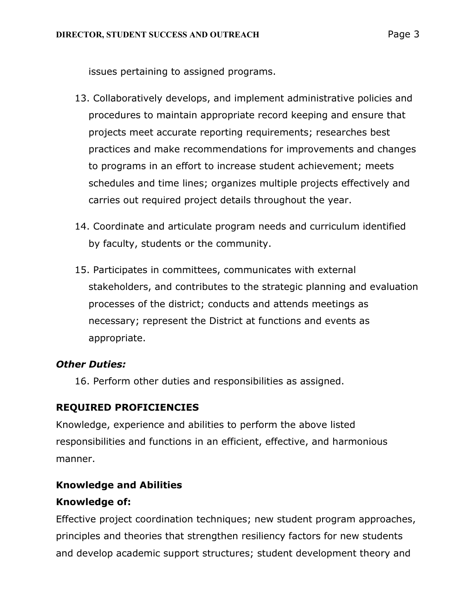issues pertaining to assigned programs.

- 13. Collaboratively develops, and implement administrative policies and procedures to maintain appropriate record keeping and ensure that projects meet accurate reporting requirements; researches best practices and make recommendations for improvements and changes to programs in an effort to increase student achievement; meets schedules and time lines; organizes multiple projects effectively and carries out required project details throughout the year.
- 14. Coordinate and articulate program needs and curriculum identified by faculty, students or the community.
- 15. Participates in committees, communicates with external stakeholders, and contributes to the strategic planning and evaluation processes of the district; conducts and attends meetings as necessary; represent the District at functions and events as appropriate.

#### *Other Duties:*

16. Perform other duties and responsibilities as assigned.

# **REQUIRED PROFICIENCIES**

Knowledge, experience and abilities to perform the above listed responsibilities and functions in an efficient, effective, and harmonious manner.

# **Knowledge and Abilities**

#### **Knowledge of:**

Effective project coordination techniques; new student program approaches, principles and theories that strengthen resiliency factors for new students and develop academic support structures; student development theory and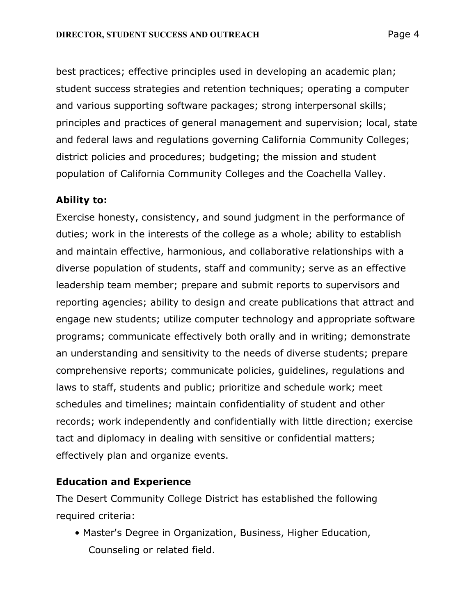best practices; effective principles used in developing an academic plan; student success strategies and retention techniques; operating a computer and various supporting software packages; strong interpersonal skills; principles and practices of general management and supervision; local, state and federal laws and regulations governing California Community Colleges; district policies and procedures; budgeting; the mission and student population of California Community Colleges and the Coachella Valley.

## **Ability to:**

Exercise honesty, consistency, and sound judgment in the performance of duties; work in the interests of the college as a whole; ability to establish and maintain effective, harmonious, and collaborative relationships with a diverse population of students, staff and community; serve as an effective leadership team member; prepare and submit reports to supervisors and reporting agencies; ability to design and create publications that attract and engage new students; utilize computer technology and appropriate software programs; communicate effectively both orally and in writing; demonstrate an understanding and sensitivity to the needs of diverse students; prepare comprehensive reports; communicate policies, guidelines, regulations and laws to staff, students and public; prioritize and schedule work; meet schedules and timelines; maintain confidentiality of student and other records; work independently and confidentially with little direction; exercise tact and diplomacy in dealing with sensitive or confidential matters; effectively plan and organize events.

#### **Education and Experience**

The Desert Community College District has established the following required criteria:

• Master's Degree in Organization, Business, Higher Education, Counseling or related field.